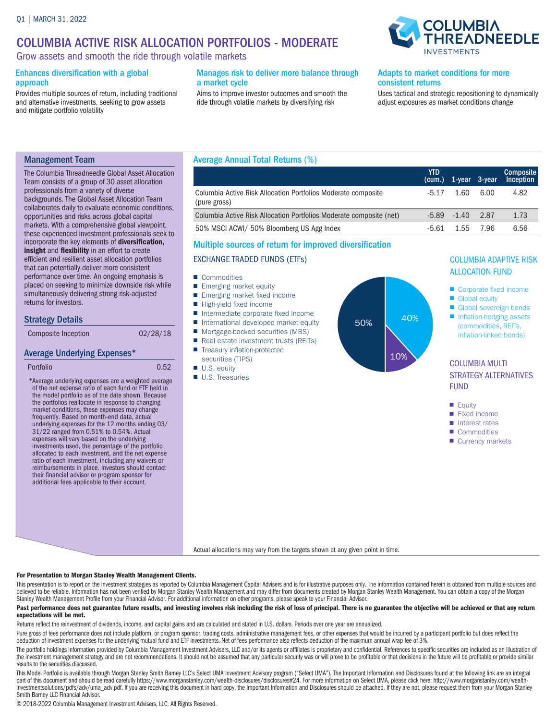### COLUMBIA ACTIVE RISK ALLOCATION PORTFOLIOS - MODERATE

Grow assets and smooth the ride through volatile markets

#### Enhances diversification with a global approach

Provides multiple sources of return, including traditional and alternative investments, seeking to grow assets and mitigate portfolio volatility

#### Manages risk to deliver more balance through a market cycle

Aims to improve investor outcomes and smooth the ride through volatile markets by diversifying risk

## **COLUMBIA IREADNEEDLE**

#### Adapts to market conditions for more consistent returns

Uses tactical and strategic repositioning to dynamically adjust exposures as market conditions change

#### Management Team

The Columbia Threadneedle Global Asset Allocation Team consists of a group of 30 asset allocation professionals from a variety of diverse backgrounds. The Global Asset Allocation Team collaborates daily to evaluate economic conditions, opportunities and risks across global capital markets. With a comprehensive global viewpoint, these experienced investment professionals seek to incorporate the key elements of diversification, insight and flexibility in an effort to create efficient and resilient asset allocation portfolios that can potentially deliver more consistent performance over time. An ongoing emphasis is placed on seeking to minimize downside risk while simultaneously delivering strong risk-adjusted returns for investors.

#### Strategy Details

| Composite Inception | 02/28/18 |
|---------------------|----------|
|                     |          |

#### Average Underlying Expenses\*

```
Portfolio 0.52
```
\* Average underlying expenses are a weighted average of the net expense ratio of each fund or ETF held in the model portfolio as of the date shown. Because the portfolios reallocate in response to changing market conditions, these expenses may change frequently. Based on month-end data, actual underlying expenses for the 12 months ending 03/ 31/22 ranged from 0.51% to 0.54%. Actual expenses will vary based on the underlying investments used, the percentage of the portfolio allocated to each investment, and the net expense ratio of each investment, including any waivers or reimbursements in place. Investors should contact their financial advisor or program sponsor for additional fees applicable to their account.

# Average Annual Total Returns (%)

|                                                                               | <b>YTD</b> | (cum.) 1-year 3-year |           | <b>Composite</b><br>Inception |
|-------------------------------------------------------------------------------|------------|----------------------|-----------|-------------------------------|
| Columbia Active Risk Allocation Portfolios Moderate composite<br>(pure gross) | $-5.17$    | 1.60                 | 6.00      | 4.82                          |
| Columbia Active Risk Allocation Portfolios Moderate composite (net)           |            | $-5.89$ $-1.40$ 2.87 |           | 1.73                          |
| 50% MSCI ACWI/ 50% Bloomberg US Agg Index                                     | -5.61      |                      | 1.55 7.96 | 6.56                          |
|                                                                               |            |                      |           |                               |

#### Multiple sources of return for improved diversification

#### EXCHANGE TRADED FUNDS (ETFs)

- Commodities
- Emerging market equity
- Emerging market fixed income
- High-yield fixed income
- Intermediate corporate fixed income
- International developed market equity
- Mortgage-backed securities (MBS) ■ Real estate investment trusts (REITs)
- Treasury inflation-protected
- securities (TIPS)
- U.S. equity
- U.S. Treasuries



#### COLUMBIA ADAPTIVE RISK ALLOCATION FUND

- Corporate fixed income
- Global equity
- Global sovereign bonds ■ Inflation-hedging assets (commodities, REITs, inflation-linked bonds)

#### COLUMBIA MULTI STRATEGY ALTERNATIVES FUND

- Equity
- Fixed income
- Interest rates
- Commodities
- Currency markets

Actual allocations may vary from the targets shown at any given point in time.

#### For Presentation to Morgan Stanley Wealth Management Clients.

This presentation is to report on the investment strategies as reported by Columbia Management Capital Advisers and is for illustrative purposes only. The information contained herein is obtained from multiple sources and believed to be reliable. Information has not been verified by Morgan Stanley Wealth Management and may differ from documents created by Morgan Stanley Wealth Management. You can obtain a copy of the Morgan Stanley Wealth Management Profile from your Financial Advisor. For additional information on other programs, please speak to your Financial Advisor.

#### Past performance does not guarantee future results, and investing involves risk including the risk of loss of principal. There is no guarantee the objective will be achieved or that any return expectations will be met.

Returns reflect the reinvestment of dividends, income, and capital gains and are calculated and stated in U.S. dollars. Periods over one year are annualized.

Pure gross of fees performance does not include platform, or program sponsor, trading costs, administrative management fees, or other expenses that would be incurred by a participant portfolio but does reflect the deduction of investment expenses for the underlying mutual fund and ETF investments. Net of fees performance also reflects deduction of the maximum annual wrap fee of 3%.

The portfolio holdings information provided by Columbia Management Investment Advisers, LLC and/or its agents or affiliates is proprietary and confidential. References to specific securities are included as an illustration the investment management strategy and are not recommendations. It should not be assumed that any particular security was or will prove to be profitable or that decisions in the future will be profitable or provide similar results to the securities discussed.

This Model Portfolio is available through Morgan Stanley Smith Barney LLC's Select UMA Investment Advisory program ("Select UMA"). The Important Information and Disclosures found at the following link are an integral part of this document and should be read carefully https://www.morganstanley.com/wealth-disclosures/disclosures#24. For more information on Select UMA, please click here: http://www.morganstanley.com/wealth-<br>investmentsolu Smith Barney LLC Financial Advisor.

© 2018-2022 Columbia Management Investment Advisers, LLC. All Rights Reserved.